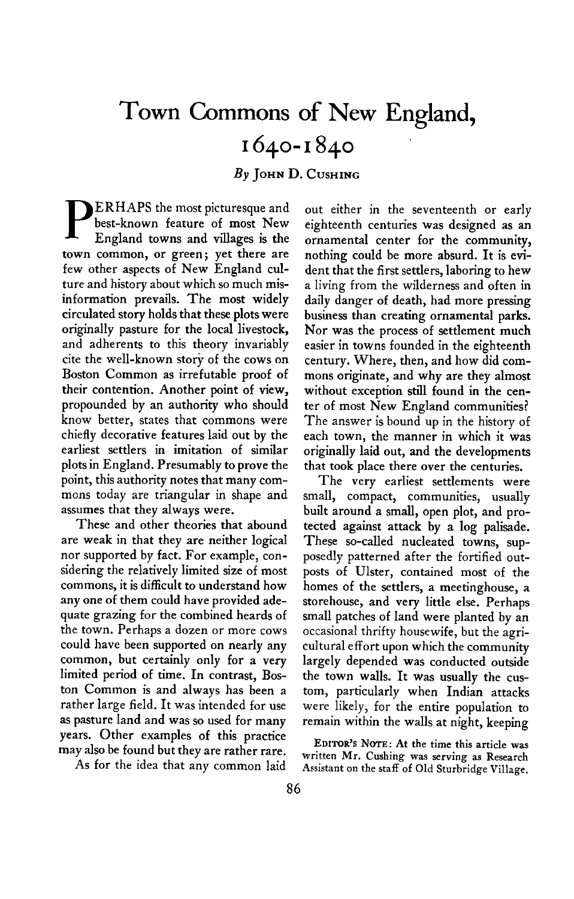## **Town Commons of New England, 1640-1840**

**By JOHN D. GUSHING** 

**P ERHAPS the most picturesque and best-known feature of most New England towns and villages is the town common, or green; yet there are few other aspects of New England culture and history about which so much misinformation prevails. The most widely circulated story holds that these plots were originally pasture for the local livestock, and adherents to this theory invariably cite the well-known story of the COWS on Boston Common as irrefutable proof of their contention. Another point of view, propounded by an authority who should know better, states that commons were chiefly decorative features laid out by the earliest settlers in imitation of similar plots in England. Presumably to prove the point, this authority notes that many commons today are triangular in shape and assumes that they always were.** 

**These and other theories that abound are weak in that they are neither logical nor supported by fact. For example, considering the relatively limited size of most commons, it is difficult to understand how any one of them could have provided adequate grazing for the combined heards of the town. Perhaps a dozen or more cows could have been supported on nearly any common, but certainly only for a very limited period of time. In contrast, Boston Common is and always has been a rather large field. It was intended for use as pasture land and was so used for many years. Other examples of this practice may also be found but they are rather rare.** 

**As for the idea that any common laid** 

**out either in the seventeenth or early eighteenth centuries was designed as an ornamental center for the community, nothing could be more absurd. It is evident that the first settlers, laboring to hew a living from the wilderness and often in daily danger of death, had more pressing business than creating ornamental parks. Nor was the process of settlement much easier in towns founded in the eighteenth century. Where, then, and how did commons originate, and why are they almost without exception still found in the center of most New England communities? The answer is bound up in the history of each town, the manner in which it was originally laid out, and the developments that took place there over the centuries.** 

**The very earliest settlements were small, compact, communities, usually built around a small, open plot, and protected against attack by a log palisade. These so-called nucleated towns, supposedly patterned after the fortified outposts of Ulster, contained most of the homes of the settlers, a meetinghouse, a storehouse, and very little else. Perhaps small patches of land were planted by an occasional thrifty housewife, but the agricultural effort upon which the community largely depended was conducted outside the town walls. It was usually the custom, particularly when Indian attacks were likely, for the entire population to remain within the walls at night, keeping** 

**EDITORS ' NOTE: At the time this article was written Mr. Cushing was serving as Research Assistant on the staff of Old Sturbridge Village.**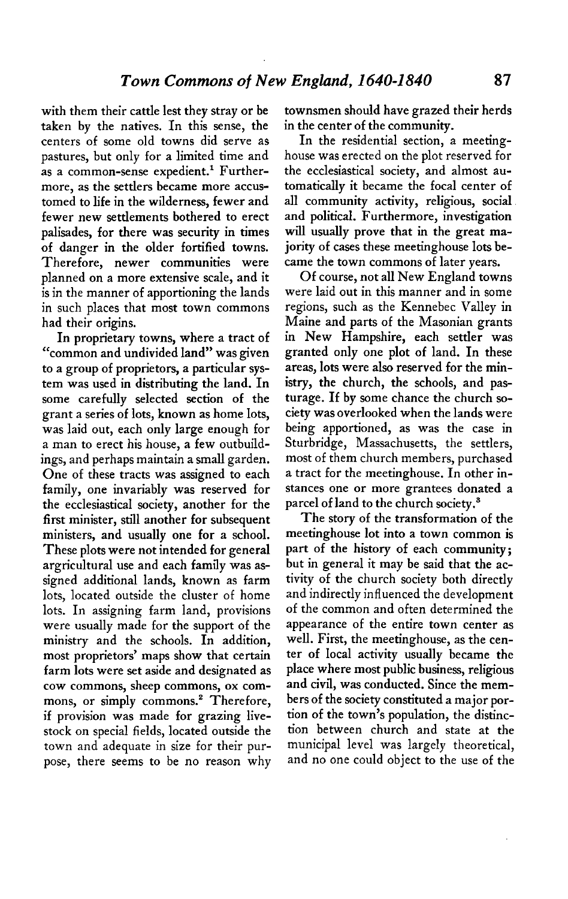**with them their cattle lest they stray or be taken by the natives. In this sense, the centers of some old towns did serve as pastures, but only for a limited time and**  as a common-sense expedient.<sup>1</sup> Further**more, as the settlers became more accustomed to life in the wilderness, fewer and fewer new settlements bothered to erect palisades, for there was security in times of danger in the older fortified towns. Therefore, newer communities were planned on a more extensive scale, and it is in the manner of apportioning the lands in such places that most town commons had their origins.** 

**In proprietary towns, where a tract of "common and undivided land" was given to a group of proprietors, a particular system was used in distributing the land. In some carefully selected section of the grant a series of lots, known as home lots, was laid out, each only large enough for a man to erect his house, a few outbuildings, and perhaps maintain a small garden. One of these tracts was assigned to each family, one invariably was reserved for the ecclesiastical society, another for the first minister, still another for subsequent ministers, and usually one for a school. These plots were not intended for general argricultural use and each family was assigned additional lands, known as farm lots, located outside the cluster of home lots. In assigning farm land, provisions were usually made for the support of the ministry and the schools. In addition, most proprietors' maps show that certain farm lots were set aside and designated as cow commons, sheep commons, ox com**mons, or simply commons.<sup>2</sup> Therefore, **if provision was made for grazing livestock on special fields, located outside the town and adequate in size for their purpose, there seems to be no reason why**  **townsmen should have grazed their herds in the center of the community.** 

**In the residential section, a meetinghouse was erected on the plot reserved for the ecclesiastical society, and almost automatically it became the focal center of all community activity, religious, social and political. Furthermore, investigation will usually prove that in the great majority of cases these meetinghouse lots became the town commons of later years.** 

**Of course, not all New England towns were laid out in this manner and in some regions, such as the Kennebec Valley in Maine and parts of the Masonian grants in New Hampshire, each settler was granted only one plot of land. In these areas, lots were also reserved for the ministry, the church, the schools, and pasturage. If by some chance the church society was overlooked when the lands were being apportioned, as was the case in Sturbridge, Massachusetts, the settlers, most of them church members, purchased a tract for the meetinghouse. In other instances one or more grantees donated a parcel of land to the church society.s** 

**The story of the transformation of the meetinghouse lot into a town common is part of the history of each community; but in general it may be said that the activity of the church society both directly and indirectly influenced the development of the common and often determined the appearance of the entire town center as well. First, the meetinghouse, as the center of local activity usually became the place where most public business, religious and civil, was conducted. Since the members of the society constituted a major portion of the town's population, the distinction between church and state at the municipal level was largely theoretical, and no one could object to the use of the**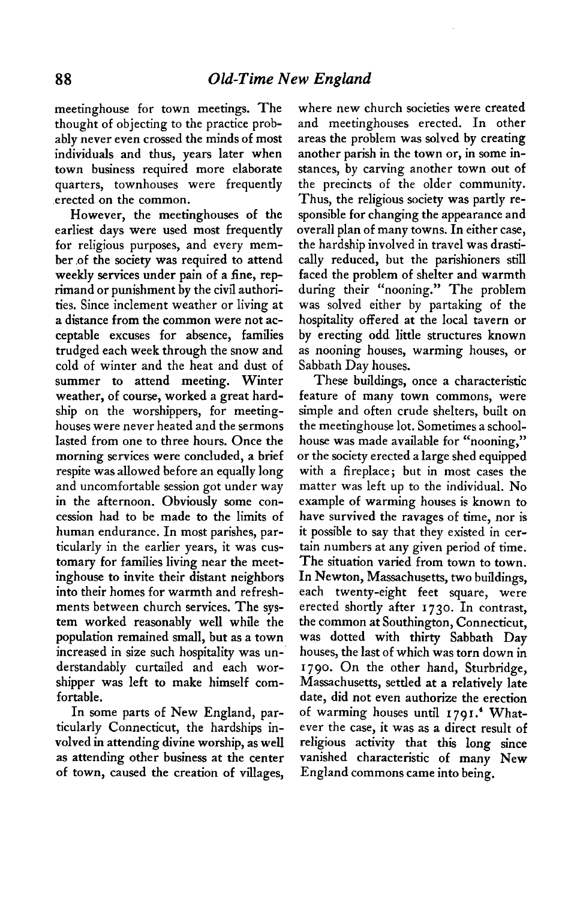**meetinghouse for town meetings. The thought of objecting to the practice probably never even crossed the minds of most individuals and thus, years later when town business required more elaborate quarters, townhouses were frequently erected on the common.** 

**However, the meetinghouses of the earliest days were used most frequently for religious purposes, and every member .of the society was required to attend weekly services under pain of a fine, reprimand or punishment by the civil authorities. Since inclement weather or living at a distance from the common were not acceptable excuses for absence, families trudged each week through the snow and cold of winter and the heat and dust of summer to attend meeting. Winter weather, of course, worked a great hardship on the worshippers, for meetinghouses were never heated and the sermons lasted from one to three hours. Once the morning services were concluded, a brief respite was allowed before an equally long and uncomfortable session got under way in the afternoon. Obviously some concession had to be made to the limits of human endurance. In most parishes, particularly in the earlier years, it was customary for families living near the meetinghouse to invite their distant neighbors into their homes for warmth and refreshments between church services. The system worked reasonably well while the population remained small, but as a town increased in size such hospitality was understandably curtailed and each worshipper was left to make himself comfortable.** 

**In some parts of New England, particularly Connecticut, the hardships involved in attending divine worship, as well as attending other business at the center of town, caused the creation of villages,** 

**where new church societies were created and meetinghouses erected. In other areas the problem was solved by creating another parish in the town or, in some instances, by carving another town out of the precincts of the older community. Thus, the religious society was partly responsible for changing the appearance and overall plan of many towns. In either case, the hardship involved in travel was drastically reduced, but the parishioners still faced the problem of shelter and warmth during their "nooning." The problem was solved either by partaking of the hospitality offered at the local tavern or by erecting odd little structures known as nooning houses, warming houses, or Sabbath Day houses.** 

**These buildings, once a characteristic feature of many town commons, were simple and often crude shelters, built on the meetinghouse lot. Sometimes a schoolhouse was made available for "nooning," or the society erected a large shed equipped with a fireplace; but in most cases the matter was left up to the individual. No example of warming houses is known to have survived the ravages of time, nor is it possible to say that they existed in certain numbers at any given period of time. The situation varied from town to town. In Newton, Massachusetts, two buildings, each twenty-eight feet square, were erected shortly after 1730. In contrast, the common at Southington, Connecticut, was dotted with thirty Sabbath Day houses, the last of which was torn down in 1790. On the other hand, Sturbridge, Massachusetts, settled at a relatively late date, did not even authorize the erection**  of warming houses until 1791.<sup>4</sup> What**ever the case, it was as a direct result of religious activity that this long since vanished characteristic of many New England commons came into being.**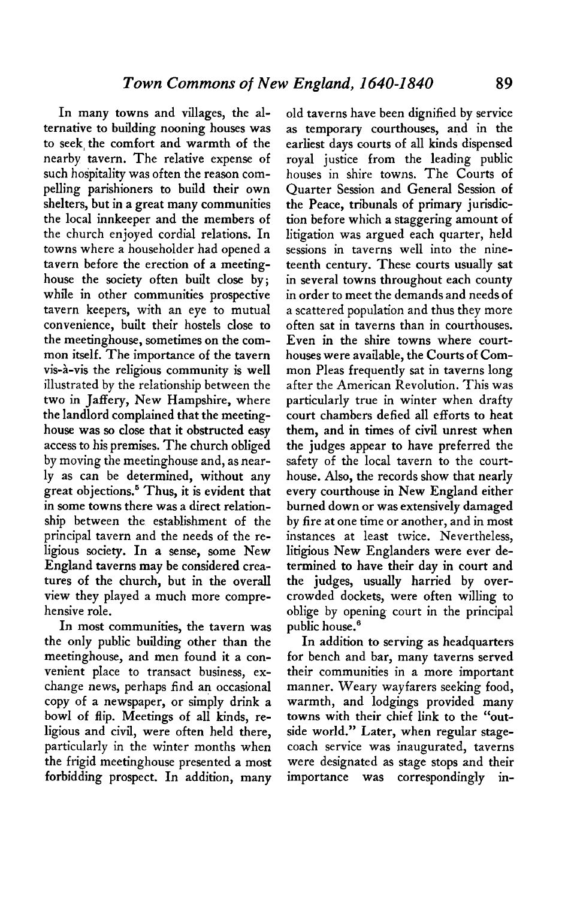**In many towns and villages, the alternative to building nooning houses was to seek, the comfort and warmth of the nearby tavern. The relative expense of such hospitality was often the reason compelling parishioners to build their own shelters, but in a great many communities the local innkeeper and the members of the church enjoyed cordial relations. In towns where a householder had opened a tavern before the erection of a meetinghouse the society often built close by; while in other communities prospective tavern keepers, with an eye to mutual convenience, built their hostels close to the meetinghouse, sometimes on the common itself. The importance of the tavern vis-h-vis the religious community is well illustrated by the relationship between the two in Jaffery, New Hampshire, where the landlord complained that the meetinghouse was so close that it obstructed easy access to his premises. The church obliged by moving the meetinghouse and, as nearly as can be determined, without any great objections.' Thus, it is evident that in some towns there was a direct relationship between the establishment of the principal tavern and the needs of the religious society. In a sense, some New England taverns may be considered creatures of the church, but in the overall view they played a much more comprehensive role.** 

**In most communities, the tavern was the only public building other than the meetinghouse, and men found it a convenient place to transact business, exchange news, perhaps find an occasional copy of a newspaper, or simply drink a bowl of flip. Meetings of all kinds, religious and civil, were often held there, particularly in the winter months when the frigid meetinghouse presented a most forbidding prospect. In addition, many**  **old taverns have been dignified by service as temporary courthouses, and in the earliest days courts of all kinds dispensed royal justice from the leading public houses in shire towns. The Courts of Quarter Session and General Session of the Peace, tribunals of primary jurisdiction before which a staggering amount of litigation was argued each quarter, held sessions in taverns well into the nineteenth century. These courts usually sat in several towns throughout each county in order to meet the demands and needs of a scattered population and thus they more often sat in taverns than in courthouses. Even in the shire towns where courthouses were available, the Courts of Common Pleas frequently sat in taverns long after the American Revolution. This was particularly true in winter when drafty court chambers defied all efforts to heat them, and in times of civil unrest when the judges appear to have preferred the safety of the local tavern to the courthouse. Also, the records show that nearly every courthouse in New England either burned down or was extensively damaged by fire at one time or another, and in most instances at least twice. Nevertheless, litigious New Englanders were ever determined to have their day in court and the judges, usually harried by overcrowded dockets, were often willing to oblige by opening court in the principal**  public house.<sup>6</sup>

**In addition to serving as headquarters for bench and bar, many taverns served their communities in a more important manner. Weary wayfarers seeking food, warmth, and lodgings provided many towns with their chief link to the "outside world." Later, when regular stagecoach service was inaugurated, taverns were designated as stage stops and their importance was correspondingly in-**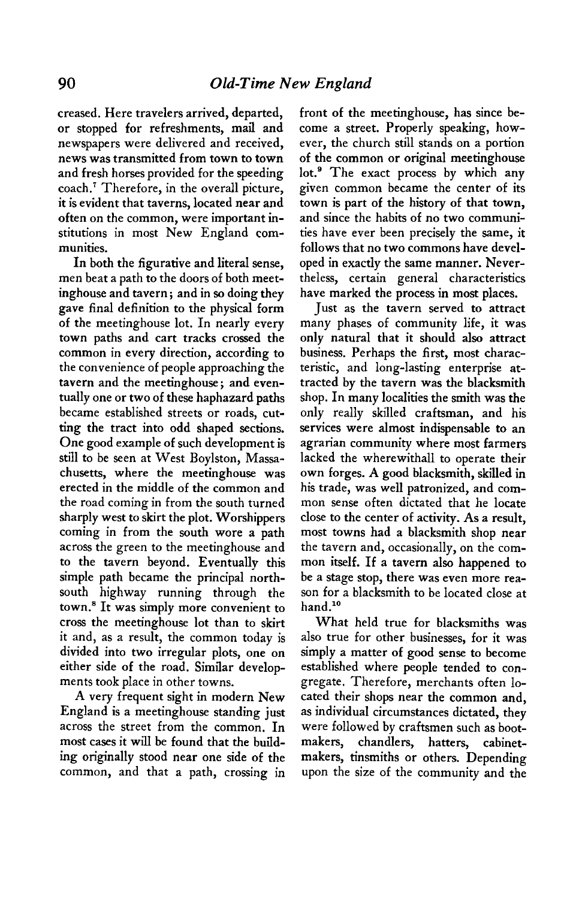**creased. Here travelers arrived, departed, or stopped for refreshments, mail and newspapers were delivered and received, news was transmitted from town to town and fresh horses provided for the speeding coach.' Therefore, in the overall picture, it is evident that taverns, located near and often on the common, were important institutions in most New England communities.** 

**In both the figurative and literal sense, men beat a path to the doors of both meetinghouse and tavern; and in so doing they gave final definition to the physical form of the meetinghouse lot. In nearly every town paths and cart tracks crossed the common in every direction, according to the convenience of people approaching the tavern and the meetinghouse ; and eventually one or two of these haphazard paths became established streets or roads, cutting the tract into odd shaped sections. One good example of such development is still to be seen at West Boylston, Massachusetts, where the meetinghouse was erected in the middle of the common and the road coming in from the south turned sharply west to skirt the plot. Worshippers coming in from the south wore a path across the green to the meetinghouse and to the tavern beyond. Eventually this simple path became the principal northsouth highway running through the town.' It was simply more convenient to cross the meetinghouse lot than to skirt it and, as a result, the common today is divided into two irregular plots, one on either side of the road. Similar developments took place in other towns.** 

**A very frequent sight in modern New England is a meetinghouse standing just across the street from the common. In most cases it will be found that the building originally stood near one side of the common, and that a path, crossing in**  **front of the meetinghouse, has since become a street. Properly speaking, however, the church still stands on a portion of the common or original meetinghouse**  lot.<sup>9</sup> The exact process by which any **given common became the center of its town is part of the history of that town, and since the habits of no two communities have ever been precisely the same, it follows that no two commons have developed in exactly the same manner. Nevertheless, certain general characteristics have marked the process in most places.** 

**Just as the tavern served to attract many phases of community life, it was only natural that it should also attract business. Perhaps the first, most characteristic, and long-lasting enterprise attracted by the tavern was the blacksmith shop. In many localities the smith was the only really skilled craftsman, and his services were almost indispensable to an agrarian community where most farmers lacked the wherewithal1 to operate their own forges. A good blacksmith, skilled in his trade, was well patronized, and common sense often dictated that he locate close to the center of activity. As a result, most towns had a blacksmith shop near the tavern and, occasionally, on the common itself. If a tavern also happened to be a stage stop, there was even more reason for a blacksmith to be located close at**  hand.<sup>10</sup>

**What held true for blacksmiths was also true for other businesses, for it was simply a matter of good sense to become established where people tended to congregate. Therefore, merchants often located their shops near the common and, as individual circumstances dictated, they were followed by craftsmen such as bootmakers, chandlers, hatters, cabinetmakers, tinsmiths or others. Depending upon the size of the community and the**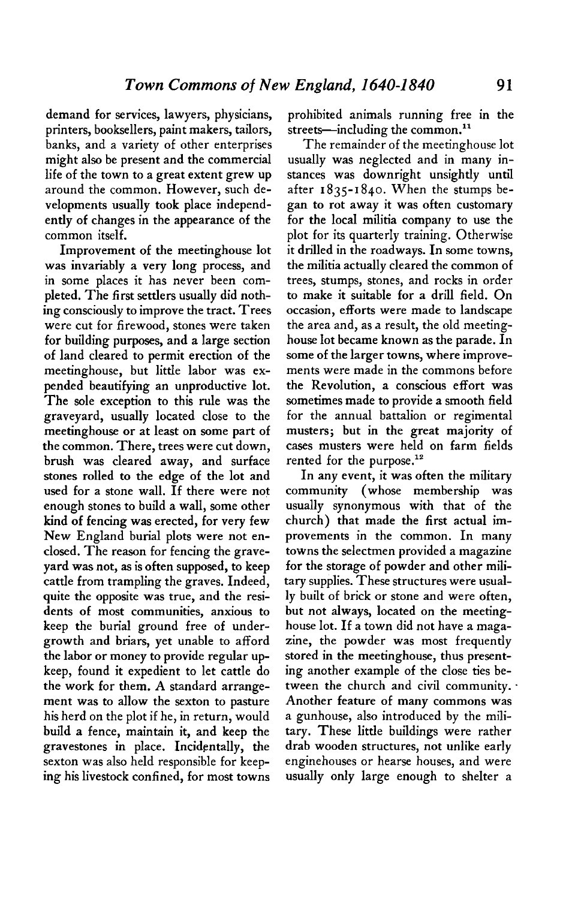**demand for services, lawyers, physicians, printers, booksellers, paint makers, tailors, banks, and a variety of other enterprises might also be present and the commercial life of the town to a great extent grew up around the common. However, such developments usually took place independently of changes in the appearance of the common itself.** 

**Improvement of the meetinghouse lot was invariably a very long process, and in some places it has never been completed. The first settlers usually did nothing consciously to improve the tract. Trees were cut for firewood, stones were taken for building purposes, and a large section of land cleared to permit erection of the meetinghouse, but little labor was expended beautifying an unproductive lot. The sole exception to this rule was the graveyard, usually located close to the meetinghouse or at least on some part of the common. There, trees were cut down, brush was cleared away, and surface stones rolled to the edge of the lot and used for a stone wall. If there were not enough stones to build a wall, some other kind of fencing was erected, for very few New England burial plots were not enclosed. The reason for fencing the graveyard was not, as is often supposed, to keep cattle from trampling the graves. Indeed, quite the opposite was true, and the residents of most communities, anxious to keep the burial ground free of undergrowth and briars, yet unable to afford the labor or money to provide regular upkeep, found it expedient to let cattle do the work for them. A standard arrangement was to allow the sexton to pasture his herd on the plot if he, in return, would build a fence, maintain it, and keep the gravestones in place. Incidentally, the sexton was also held responsible for keeping his livestock confined, for most towns** 

**prohibited animals running free in the**  streets-including the common.<sup>11</sup>

**The remainder of the meetinghouse lot usually was neglected and in many instances was downright unsightly until after 1835-1840. When the stumps began to rot away it was often customary for the local militia company to use the plot for its quarterly training. Otherwise it drilled in the roadways. In some towns, the militia actually cleared the common of trees, stumps, stones, and rocks in order to make it suitable for a drill field. On occasion, efforts were made to landscape the area and, as a result, the old meetinghouse lot became known as the parade. In some of the larger towns, where improvements were made in the commons before the Revolution, a conscious effort was sometimes made to provide a smooth field for the annual battalion or regimental musters; but in the great majority of cases musters were held on farm fields rented for the purpose.12** 

**In any event, it was often the military community (whose membership was usually synonymous with that of the church) that made the first actual improvements in the common. In many towns the selectmen provided a magazine for the storage of powder and other military supplies. These structures were usually built of brick or stone and were often, but not always, located on the meetinghouse lot. If a town did not have a magazine, the powder was most frequently stored in the meetinghouse, thus presenting another example of the close ties between the church and civil community. . Another feature of many commons was a gunhouse, also introduced by the military. These little buildings were rather drab wooden structures, not unlike early enginehouses or hearse houses, and were usually only large enough to shelter a**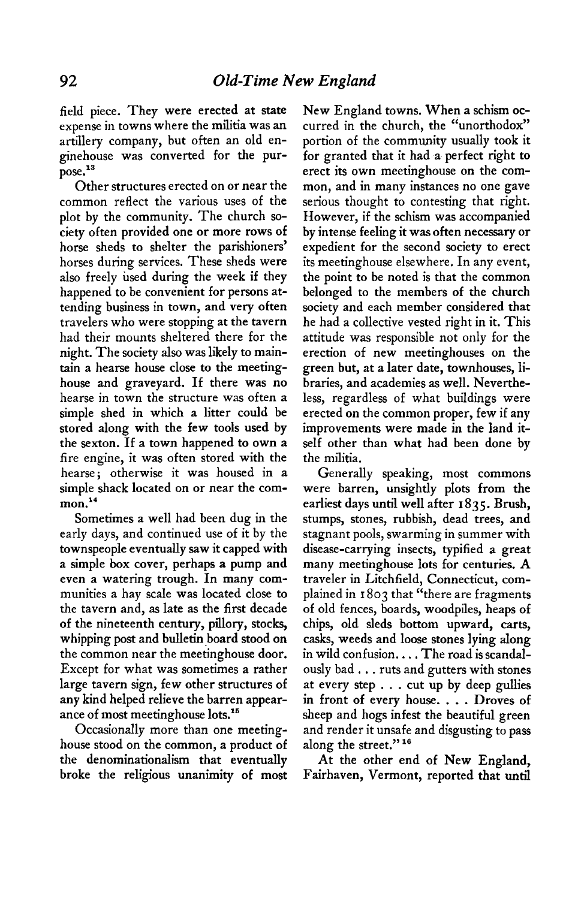**field piece. They were erected at state expense in towns where the militia was an artillery company, but often an old enginehouse was converted for the purpose."** 

**Other structures erected on or near the common reflect the various uses of the plot by the community. The church society often provided one or more rows of horse sheds to shelter the parishioners' horses during services. These sheds were also freely used during the week if they happened to be convenient for persons attending business in town, and very often travelers who were stopping at the tavern had their mounts sheltered there for the night. The society also was likely to maintain a hearse house close to the meetinghouse and graveyard. If there was no hearse in town the structure was often a simple shed in which a litter could be stored along with the few tools used by the sexton. If a town happened to own a fire engine, it was often stored with the hearse ; otherwise it was housed in a simple shack located on or near the common.14** 

**Sometimes a well had been dug in the early days, and continued use of it by the townspeople eventually saw it capped with a simple box cover, perhaps a pump and even a watering trough. In many communities a hay scale was located close to the tavern and, as late as the first decade of the nineteenth century, pillory, stocks, whipping post and bulletin board stood on the common near the meetinghouse door. Except for what was sometimes a rather large tavern sign, few other structures of any kind helped relieve the barren appearance of most meetinghouse lots.15** 

**Occasionally more than one meetinghouse stood on the common, a product of the denominationalism that eventually broke the religious unanimity of most** 

**New England towns. When a schism occurred in the church, the "unorthodox" portion of the community usually took it for granted that it had a perfect right to erect its own meetinghouse on the common, and in many instances no one gave serious thought to contesting that right. However, if the schism was accompanied by intense feeling it was often necessary or expedient for the second society to erect its meetinghouse elsewhere. In any event, the point to be noted is that the common belonged to the members of the church society and each member considered that he had a collective vested right in it. This attitude was responsible not only for the erection of new meetinghouses on the green but, at a later date, townhouses, libraries, and academies as well. Nevertheless, regardless of what buildings were erected on the common proper, few if any improvements were made in the land itself other than what had been done by the militia.** 

**Generally speaking, most commons were barren, unsightly plots from the earliest days until well after 1835. Brush, stumps, stones, rubbish, dead trees, and stagnant pools, swarming in summer with disease-carrying insects, typified a great many meetinghouse lots for centuries. A traveler in Litchfield, Connecticut, complained in I 803 that "there are fragments of old fences, boards, woodpiles, heaps of chips, old sleds bottom upward, carts, casks, weeds and loose stones lying along in wild confusion. . . . The road is scandalously bad . . . ruts and gutters with stones at every step . . . cut up by deep gullies in front of every house. . . . Droves of sheep and hogs infest the beautiful green and render it unsafe and disgusting to pass along the street." I6** 

**At the other end of New England, Fairhaven, Vermont, reported that until**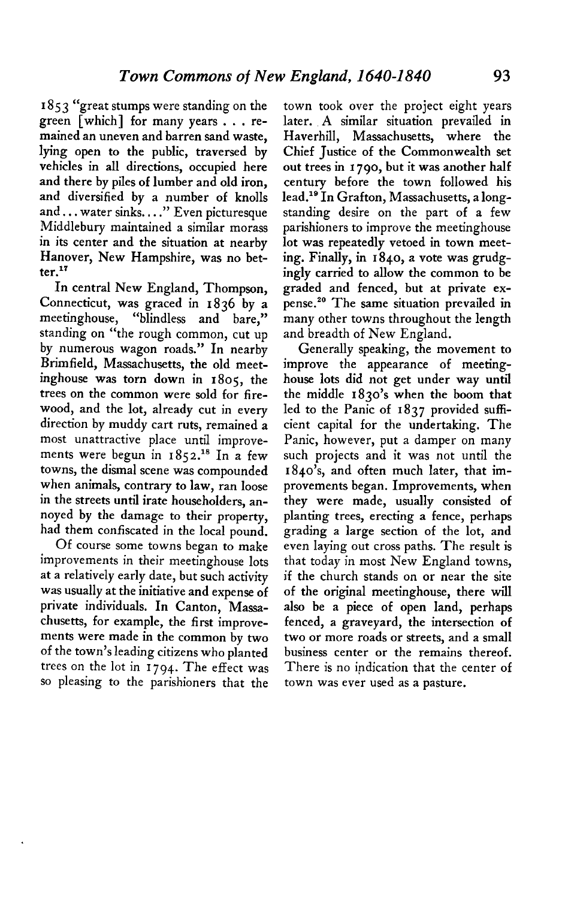**I 85 3 "great stumps were standing on the green [which] for many years . . . remained an uneven and barren sand waste, lying open to the public, traversed by vehicles in all directions, occupied here and there by piles of lumber and old iron, and diversified by a number of knolls and... water sinks. , . ." Even picturesque Middlebury maintained a similar morass in its center and the situation at nearby Hanover, New Hampshire, was no better."** 

**In central New England, Thompson, Connecticut, was graced in 1836 by a meetinghouse, "blindless and bare," standing on "the rough common, cut up by numerous wagon roads." In nearby Brimfield, Massachusetts, the old meetinghouse was torn down in 1805, the trees on the common were sold for firewood, and the lot, already cut in every direction by muddy cart ruts, remained a most unattractive place until improve**ments were begun in 1852.<sup>18</sup> In a few **towns, the dismal scene was compounded when animals, contrary to law, ran loose in the streets until irate householders, annoyed by the damage to their property, had them confiscated in the local pound.** 

**Of course some towns began to make improvements in their meetinghouse lots at a relatively early date, but such activity was usually at the initiative and expense of private individuals. In Canton, Massachusetts, for example, the first improvements were made in the common by two of the town's leading citizens who planted trees on the lot in 1794. The effect was SO pleasing to the parishioners that the** 

**town took over the project eight years later. A similar situation prevailed in Haverhill, Massachusetts, where the Chief Justice of the Commonwealth set out trees in I 790, but it was another half century before the town followed his**  lead.<sup>19</sup> In Grafton, Massachusetts, a long**standing desire on the part of a few parishioners to improve the meetinghouse lot was repeatedly vetoed in town meeting. Finally, in 1840, a vote was grudgingly carried to allow the common to be graded and fenced, but at private ex**pense.<sup>20</sup> The same situation prevailed in **many other towns throughout the length and breadth of New England.** 

**Generally speaking, the movement to improve the appearance of meetinghouse lots did not get under way until the middle 1830's when the boom that led to the Panic of 1837 provided sufficient capital for the undertaking. The Panic, however, put a damper on many such projects and it was not until the 1840's, and often much later, that improvements began. Improvements, when they were made, usually consisted of planting trees, erecting a fence, perhaps grading a large section of the lot, and even laying out cross paths. The result is that today in most New England towns, if the church stands on or near the site of the original meetinghouse, there will also be a piece of open land, perhaps fenced, a graveyard, the intersection of two or more roads or streets, and a small business center or the remains thereof. There is no indication that the center of town was ever used as a pasture.**